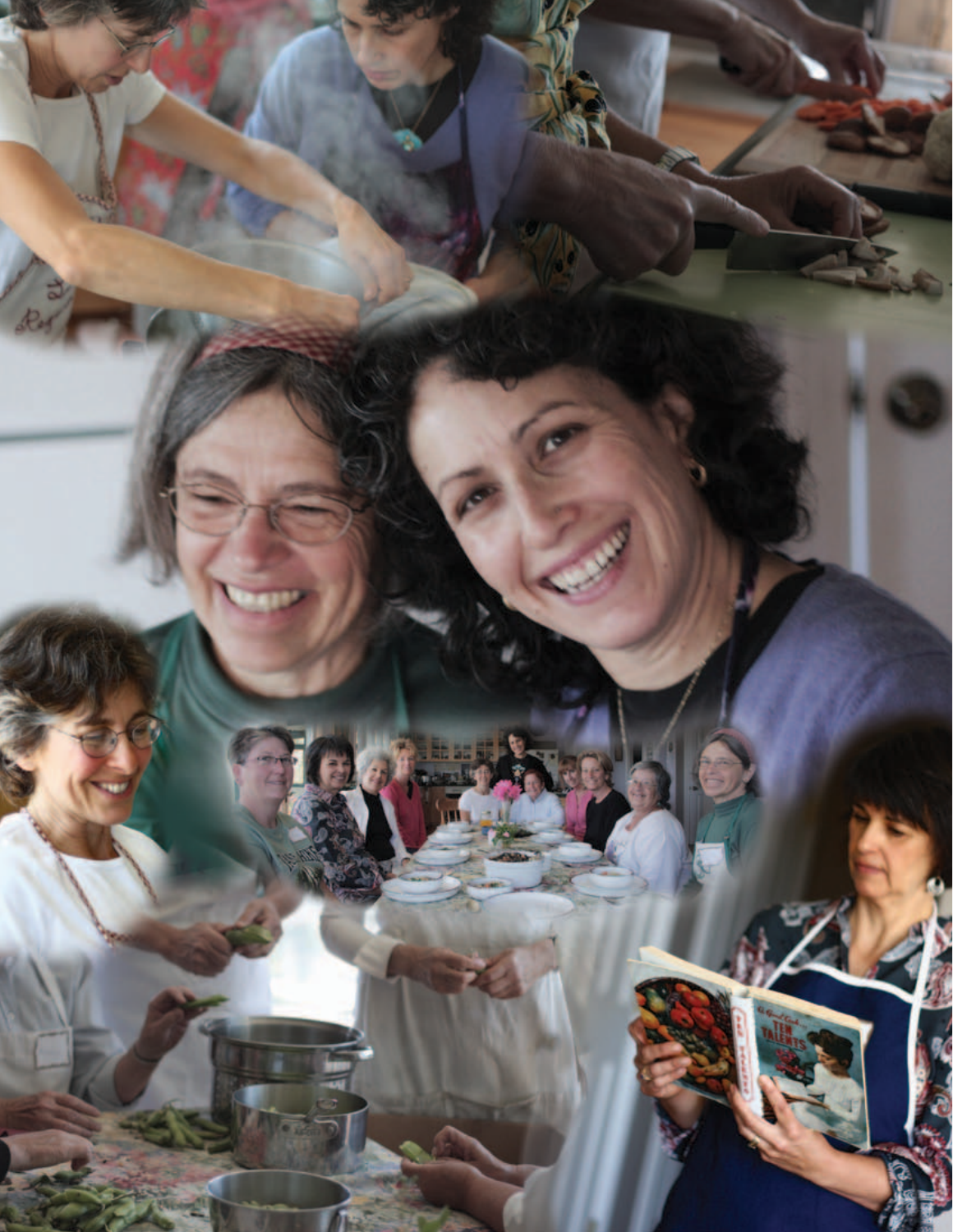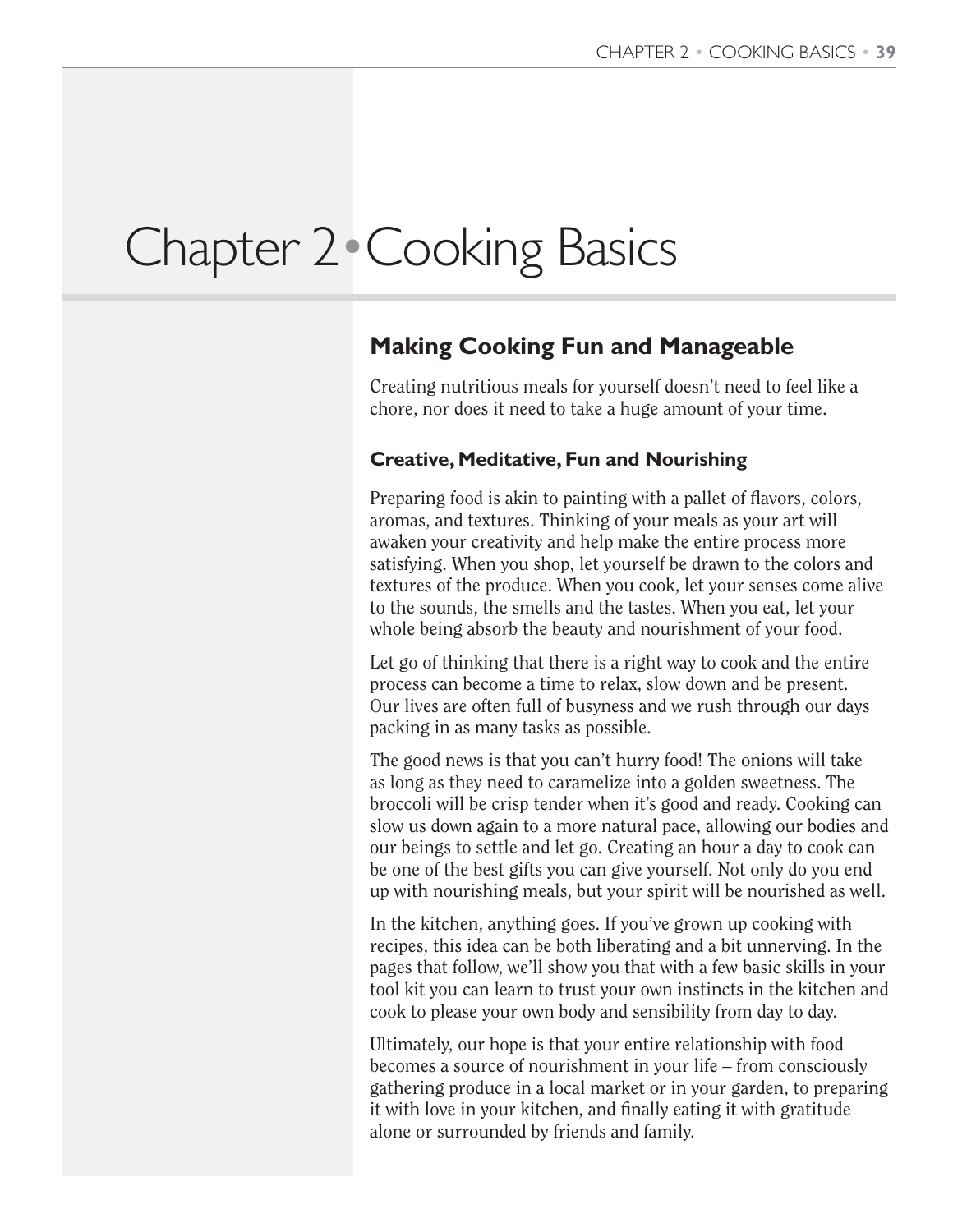# Chapter 2•Cooking Basics

## **Making Cooking Fun and Manageable**

Creating nutritious meals for yourself doesn't need to feel like a chore, nor does it need to take a huge amount of your time.

#### **Creative, Meditative, Fun and Nourishing**

Preparing food is akin to painting with a pallet of flavors, colors, aromas, and textures. Thinking of your meals as your art will awaken your creativity and help make the entire process more satisfying. When you shop, let yourself be drawn to the colors and textures of the produce. When you cook, let your senses come alive to the sounds, the smells and the tastes. When you eat, let your whole being absorb the beauty and nourishment of your food.

Let go of thinking that there is a right way to cook and the entire process can become a time to relax, slow down and be present. Our lives are often full of busyness and we rush through our days packing in as many tasks as possible.

The good news is that you can't hurry food! The onions will take as long as they need to caramelize into a golden sweetness. The broccoli will be crisp tender when it's good and ready. Cooking can slow us down again to a more natural pace, allowing our bodies and our beings to settle and let go. Creating an hour a day to cook can be one of the best gifts you can give yourself. Not only do you end up with nourishing meals, but your spirit will be nourished as well.

In the kitchen, anything goes. If you've grown up cooking with recipes, this idea can be both liberating and a bit unnerving. In the pages that follow, we'll show you that with a few basic skills in your tool kit you can learn to trust your own instincts in the kitchen and cook to please your own body and sensibility from day to day.

Ultimately, our hope is that your entire relationship with food becomes a source of nourishment in your life – from consciously gathering produce in a local market or in your garden, to preparing it with love in your kitchen, and finally eating it with gratitude alone or surrounded by friends and family.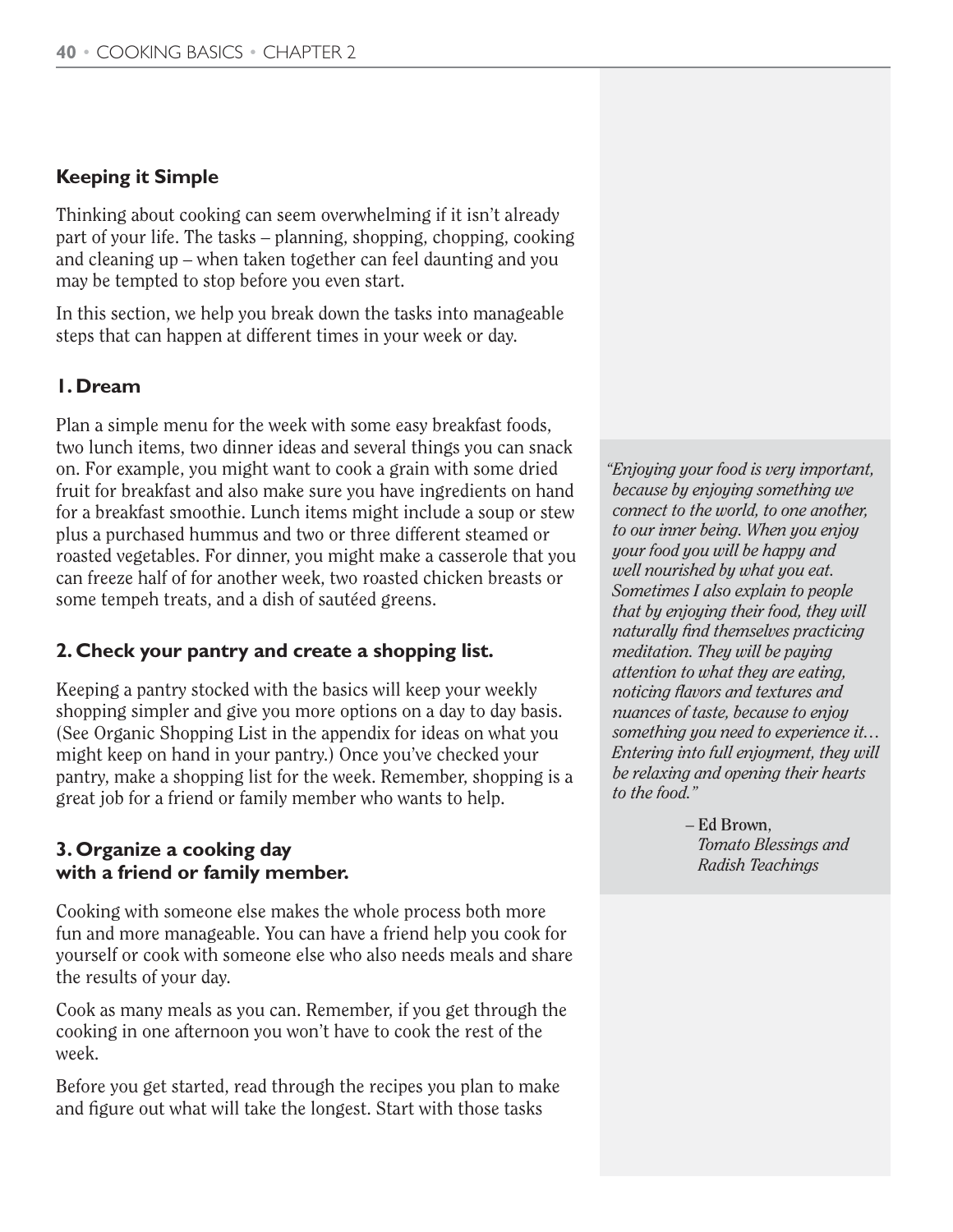#### **Keeping it Simple**

Thinking about cooking can seem overwhelming if it isn't already part of your life. The tasks – planning, shopping, chopping, cooking and cleaning up – when taken together can feel daunting and you may be tempted to stop before you even start.

In this section, we help you break down the tasks into manageable steps that can happen at different times in your week or day.

#### **1. Dream**

Plan a simple menu for the week with some easy breakfast foods, two lunch items, two dinner ideas and several things you can snack on. For example, you might want to cook a grain with some dried fruit for breakfast and also make sure you have ingredients on hand for a breakfast smoothie. Lunch items might include a soup or stew plus a purchased hummus and two or three different steamed or roasted vegetables. For dinner, you might make a casserole that you can freeze half of for another week, two roasted chicken breasts or some tempeh treats, and a dish of sautéed greens.

#### **2. Check your pantry and create a shopping list.**

Keeping a pantry stocked with the basics will keep your weekly shopping simpler and give you more options on a day to day basis. (See Organic Shopping List in the appendix for ideas on what you might keep on hand in your pantry.) Once you've checked your pantry, make a shopping list for the week. Remember, shopping is a great job for a friend or family member who wants to help.

#### **3. Organize a cooking day with a friend or family member.**

Cooking with someone else makes the whole process both more fun and more manageable. You can have a friend help you cook for yourself or cook with someone else who also needs meals and share the results of your day.

Cook as many meals as you can. Remember, if you get through the cooking in one afternoon you won't have to cook the rest of the week.

Before you get started, read through the recipes you plan to make and figure out what will take the longest. Start with those tasks

*"Enjoying your food is very important, because by enjoying something we connect to the world, to one another, to our inner being. When you enjoy your food you will be happy and well nourished by what you eat. Sometimes I also explain to people that by enjoying their food, they will naturally find themselves practicing meditation. They will be paying attention to what they are eating, noticing flavors and textures and nuances of taste, because to enjoy something you need to experience it… Entering into full enjoyment, they will be relaxing and opening their hearts to the food."*

> – **Ed Brown**, *Tomato Blessings and Radish Teachings*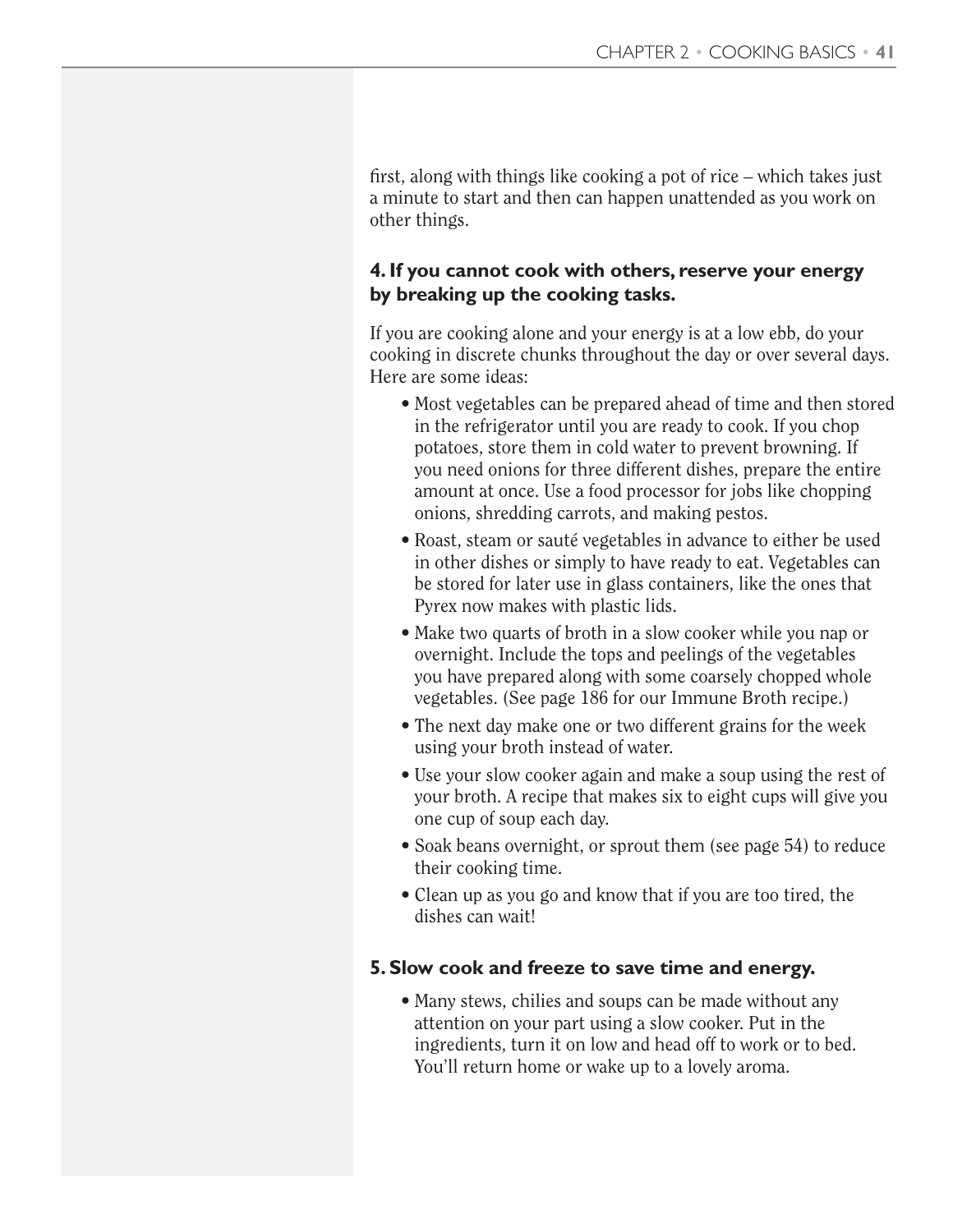first, along with things like cooking a pot of rice – which takes just a minute to start and then can happen unattended as you work on other things.

#### **4. If you cannot cook with others, reserve your energy by breaking up the cooking tasks.**

If you are cooking alone and your energy is at a low ebb, do your cooking in discrete chunks throughout the day or over several days. Here are some ideas:

- Most vegetables can be prepared ahead of time and then stored in the refrigerator until you are ready to cook. If you chop potatoes, store them in cold water to prevent browning. If you need onions for three different dishes, prepare the entire amount at once. Use a food processor for jobs like chopping onions, shredding carrots, and making pestos.
- Roast, steam or sauté vegetables in advance to either be used in other dishes or simply to have ready to eat. Vegetables can be stored for later use in glass containers, like the ones that Pyrex now makes with plastic lids.
- Make two quarts of broth in a slow cooker while you nap or overnight. Include the tops and peelings of the vegetables you have prepared along with some coarsely chopped whole vegetables. (See page 186 for our Immune Broth recipe.)
- The next day make one or two different grains for the week using your broth instead of water.
- Use your slow cooker again and make a soup using the rest of your broth. A recipe that makes six to eight cups will give you one cup of soup each day.
- Soak beans overnight, or sprout them (see page 54) to reduce their cooking time.
- Clean up as you go and know that if you are too tired, the dishes can wait!

#### **5. Slow cook and freeze to save time and energy.**

• Many stews, chilies and soups can be made without any attention on your part using a slow cooker. Put in the ingredients, turn it on low and head off to work or to bed. You'll return home or wake up to a lovely aroma.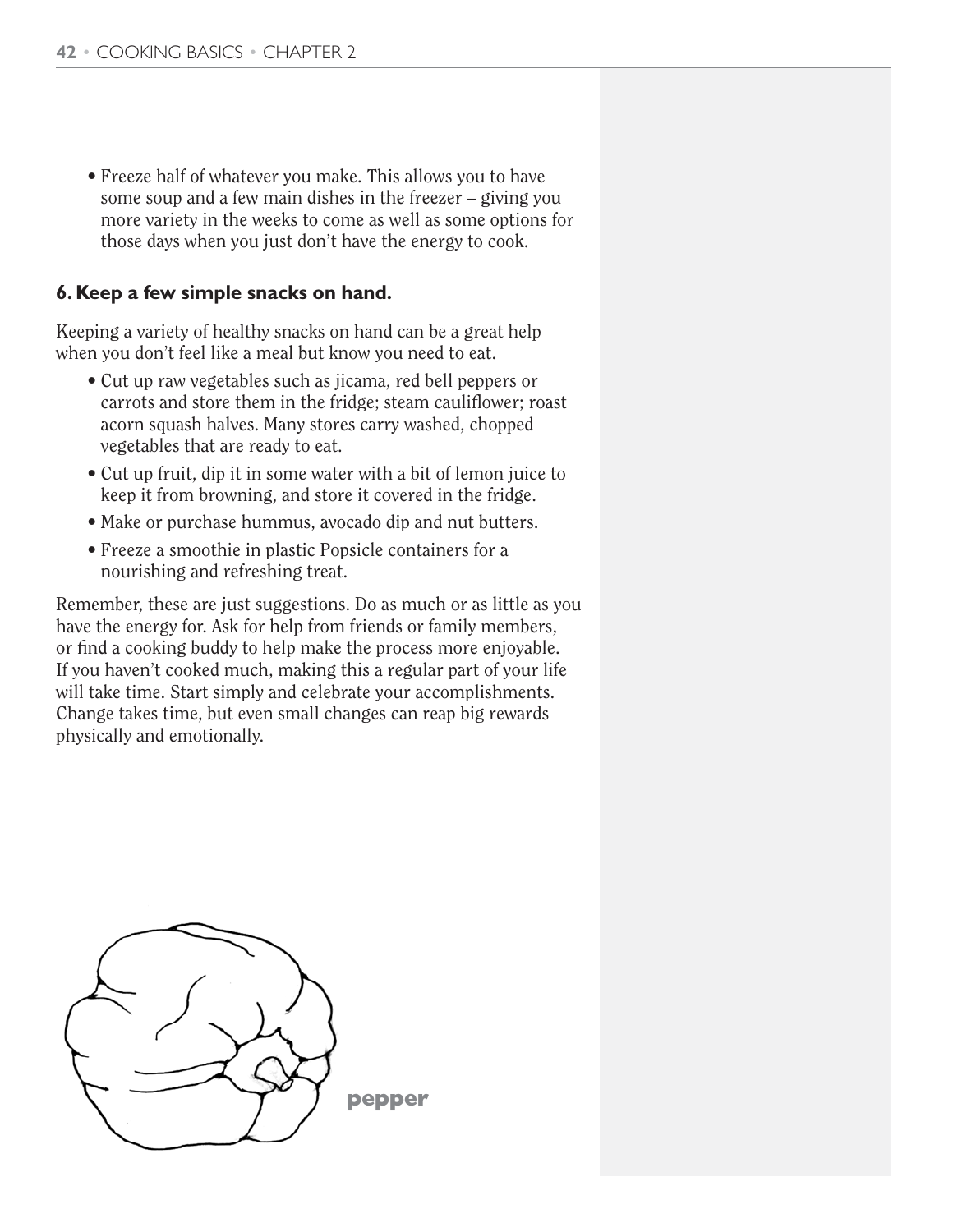• Freeze half of whatever you make. This allows you to have some soup and a few main dishes in the freezer – giving you more variety in the weeks to come as well as some options for those days when you just don't have the energy to cook.

#### **6. Keep a few simple snacks on hand.**

Keeping a variety of healthy snacks on hand can be a great help when you don't feel like a meal but know you need to eat.

- Cut up raw vegetables such as jicama, red bell peppers or carrots and store them in the fridge; steam cauliflower; roast acorn squash halves. Many stores carry washed, chopped vegetables that are ready to eat.
- Cut up fruit, dip it in some water with a bit of lemon juice to keep it from browning, and store it covered in the fridge.
- Make or purchase hummus, avocado dip and nut butters.
- Freeze a smoothie in plastic Popsicle containers for a nourishing and refreshing treat.

Remember, these are just suggestions. Do as much or as little as you have the energy for. Ask for help from friends or family members, or find a cooking buddy to help make the process more enjoyable. If you haven't cooked much, making this a regular part of your life will take time. Start simply and celebrate your accomplishments. Change takes time, but even small changes can reap big rewards physically and emotionally.

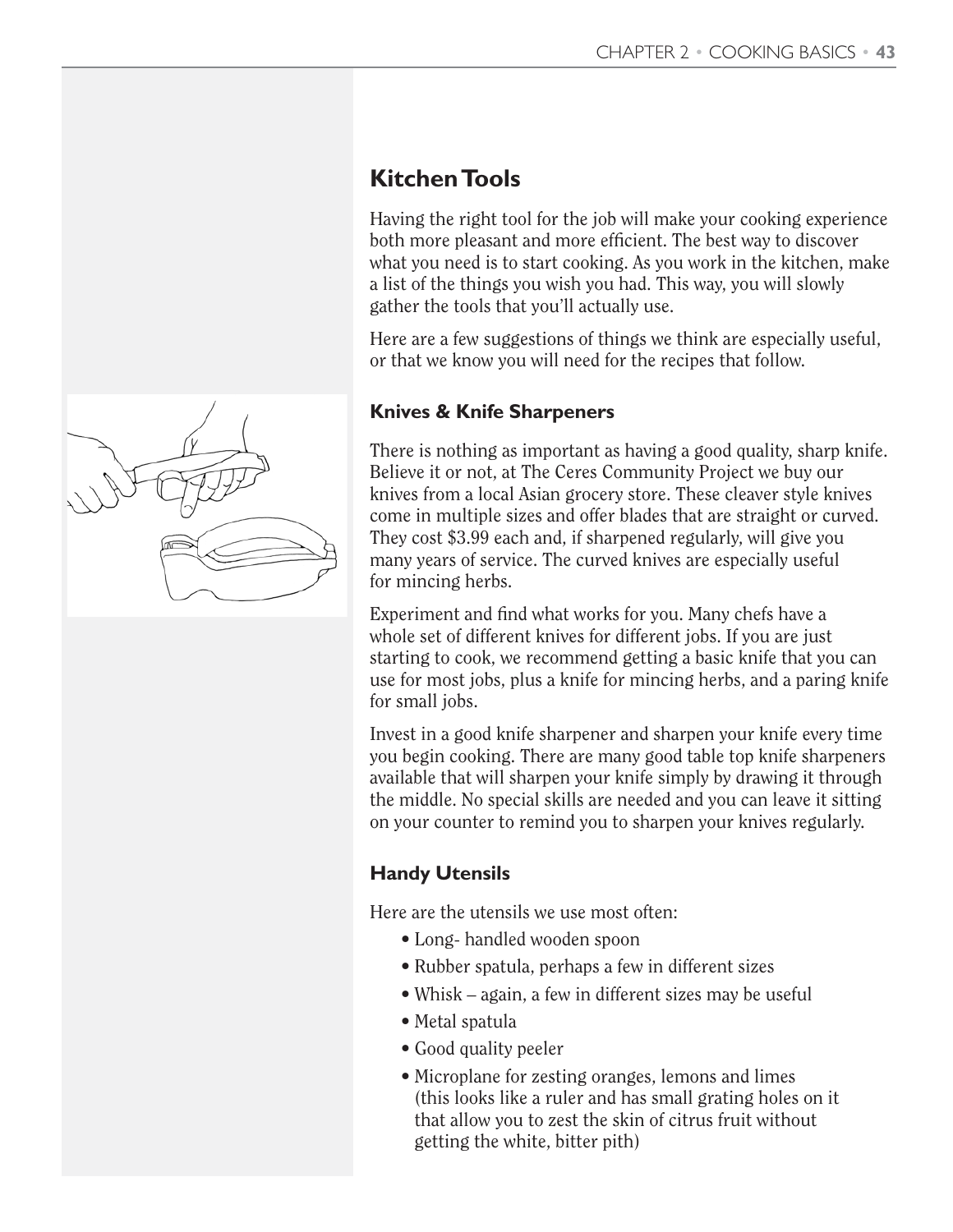## **Kitchen Tools**

Having the right tool for the job will make your cooking experience both more pleasant and more efficient. The best way to discover what you need is to start cooking. As you work in the kitchen, make a list of the things you wish you had. This way, you will slowly gather the tools that you'll actually use.

Here are a few suggestions of things we think are especially useful, or that we know you will need for the recipes that follow.

#### **Knives & Knife Sharpeners**

There is nothing as important as having a good quality, sharp knife. Believe it or not, at The Ceres Community Project we buy our knives from a local Asian grocery store. These cleaver style knives come in multiple sizes and offer blades that are straight or curved. They cost \$3.99 each and, if sharpened regularly, will give you many years of service. The curved knives are especially useful for mincing herbs.

Experiment and find what works for you. Many chefs have a whole set of different knives for different jobs. If you are just starting to cook, we recommend getting a basic knife that you can use for most jobs, plus a knife for mincing herbs, and a paring knife for small jobs.

Invest in a good knife sharpener and sharpen your knife every time you begin cooking. There are many good table top knife sharpeners available that will sharpen your knife simply by drawing it through the middle. No special skills are needed and you can leave it sitting on your counter to remind you to sharpen your knives regularly.

## **Handy Utensils**

Here are the utensils we use most often:

- Long- handled wooden spoon
- Rubber spatula, perhaps a few in different sizes
- Whisk again, a few in different sizes may be useful
- Metal spatula
- Good quality peeler
- Microplane for zesting oranges, lemons and limes (this looks like a ruler and has small grating holes on it that allow you to zest the skin of citrus fruit without getting the white, bitter pith)

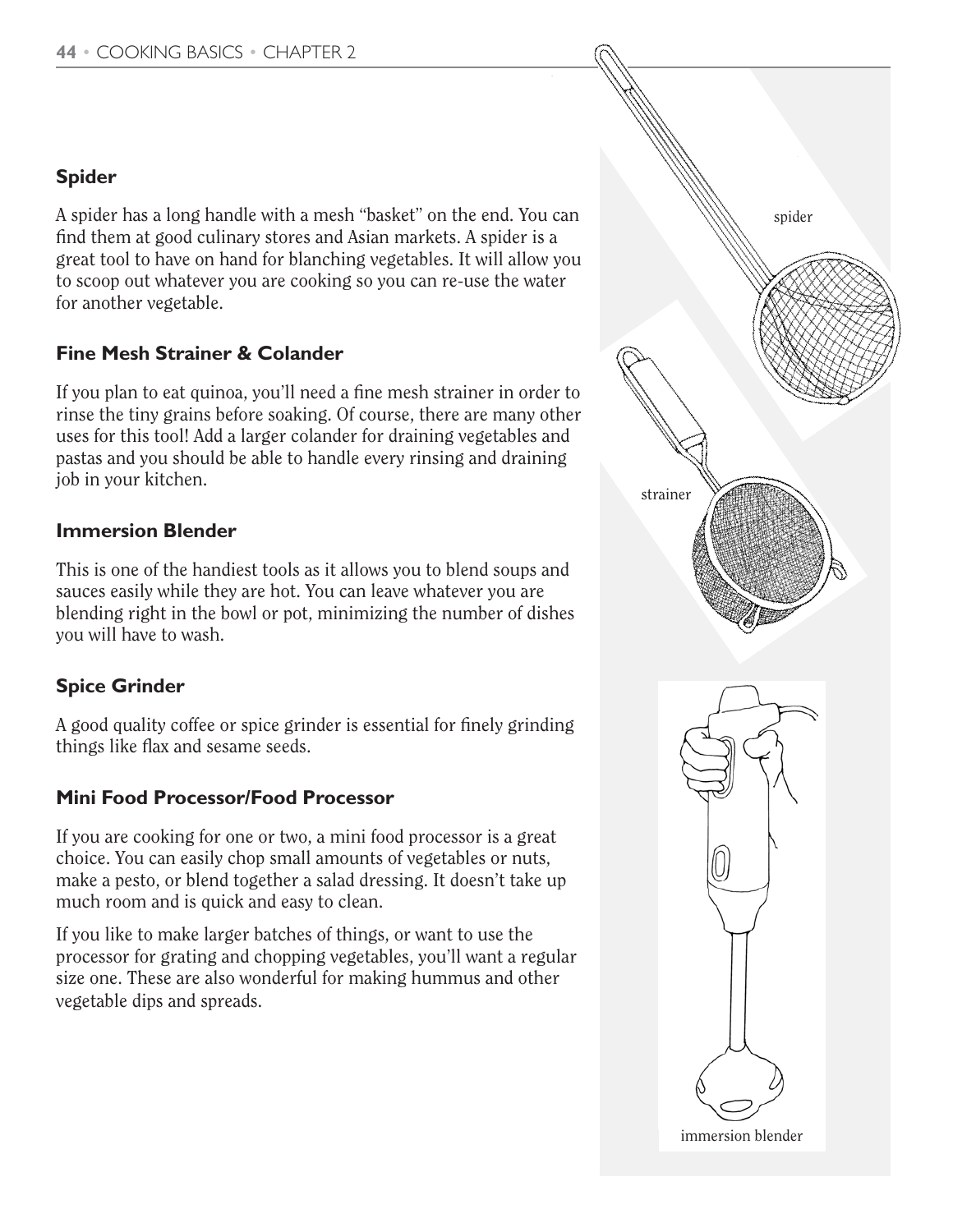## **Spider**

A spider has a long handle with a mesh "basket" on the end. You can find them at good culinary stores and Asian markets. A spider is a great tool to have on hand for blanching vegetables. It will allow you to scoop out whatever you are cooking so you can re-use the water for another vegetable.

## **Fine Mesh Strainer & Colander**

If you plan to eat quinoa, you'll need a fine mesh strainer in order to rinse the tiny grains before soaking. Of course, there are many other uses for this tool! Add a larger colander for draining vegetables and pastas and you should be able to handle every rinsing and draining job in your kitchen.

#### **Immersion Blender**

This is one of the handiest tools as it allows you to blend soups and sauces easily while they are hot. You can leave whatever you are blending right in the bowl or pot, minimizing the number of dishes you will have to wash.

## **Spice Grinder**

A good quality coffee or spice grinder is essential for finely grinding things like flax and sesame seeds.

## **Mini Food Processor/Food Processor**

If you are cooking for one or two, a mini food processor is a great choice. You can easily chop small amounts of vegetables or nuts, make a pesto, or blend together a salad dressing. It doesn't take up much room and is quick and easy to clean.

If you like to make larger batches of things, or want to use the processor for grating and chopping vegetables, you'll want a regular size one. These are also wonderful for making hummus and other vegetable dips and spreads.

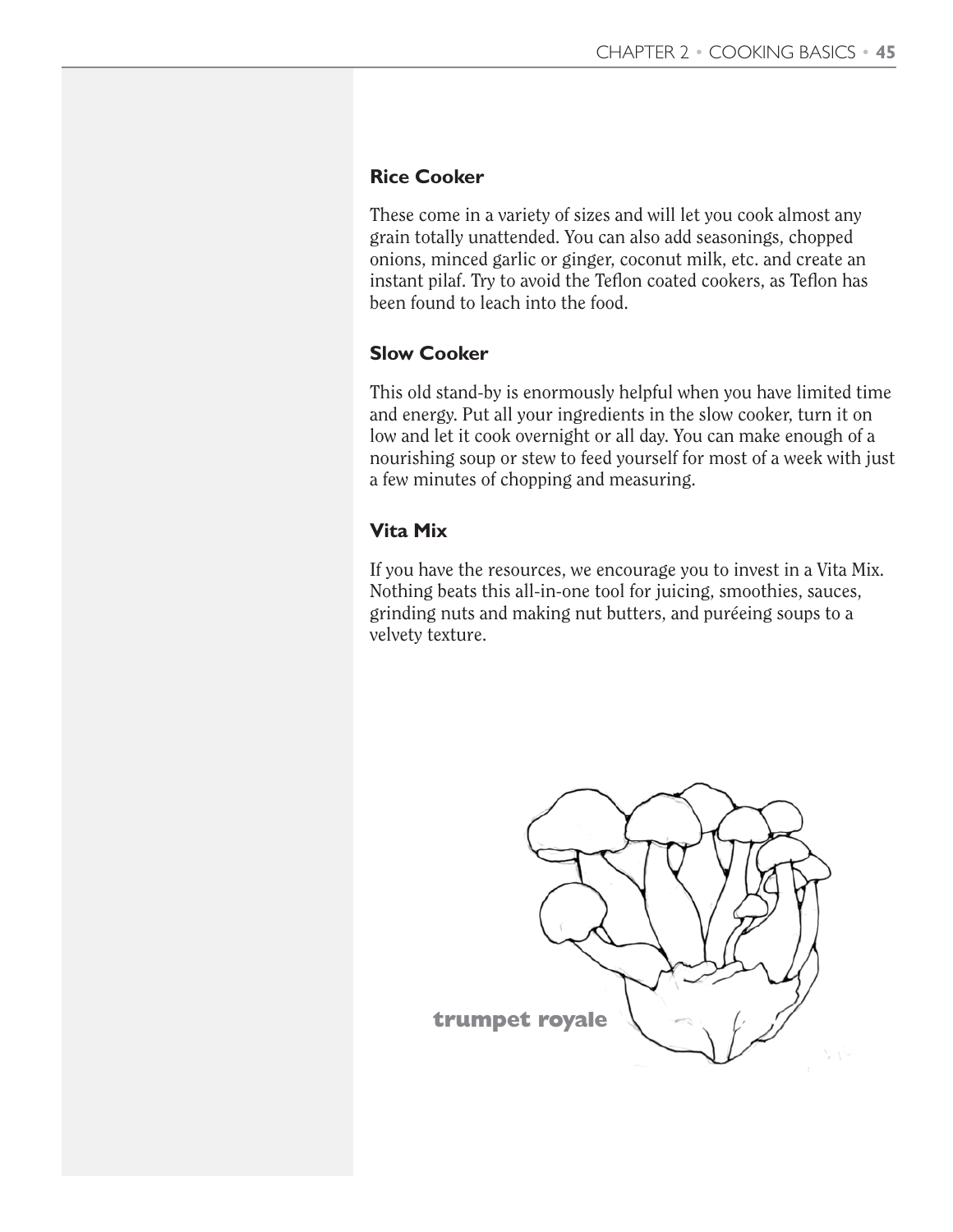#### **Rice Cooker**

These come in a variety of sizes and will let you cook almost any grain totally unattended. You can also add seasonings, chopped onions, minced garlic or ginger, coconut milk, etc. and create an instant pilaf. Try to avoid the Teflon coated cookers, as Teflon has been found to leach into the food.

#### **Slow Cooker**

This old stand-by is enormously helpful when you have limited time and energy. Put all your ingredients in the slow cooker, turn it on low and let it cook overnight or all day. You can make enough of a nourishing soup or stew to feed yourself for most of a week with just a few minutes of chopping and measuring.

#### **Vita Mix**

If you have the resources, we encourage you to invest in a Vita Mix. Nothing beats this all-in-one tool for juicing, smoothies, sauces, grinding nuts and making nut butters, and puréeing soups to a velvety texture.

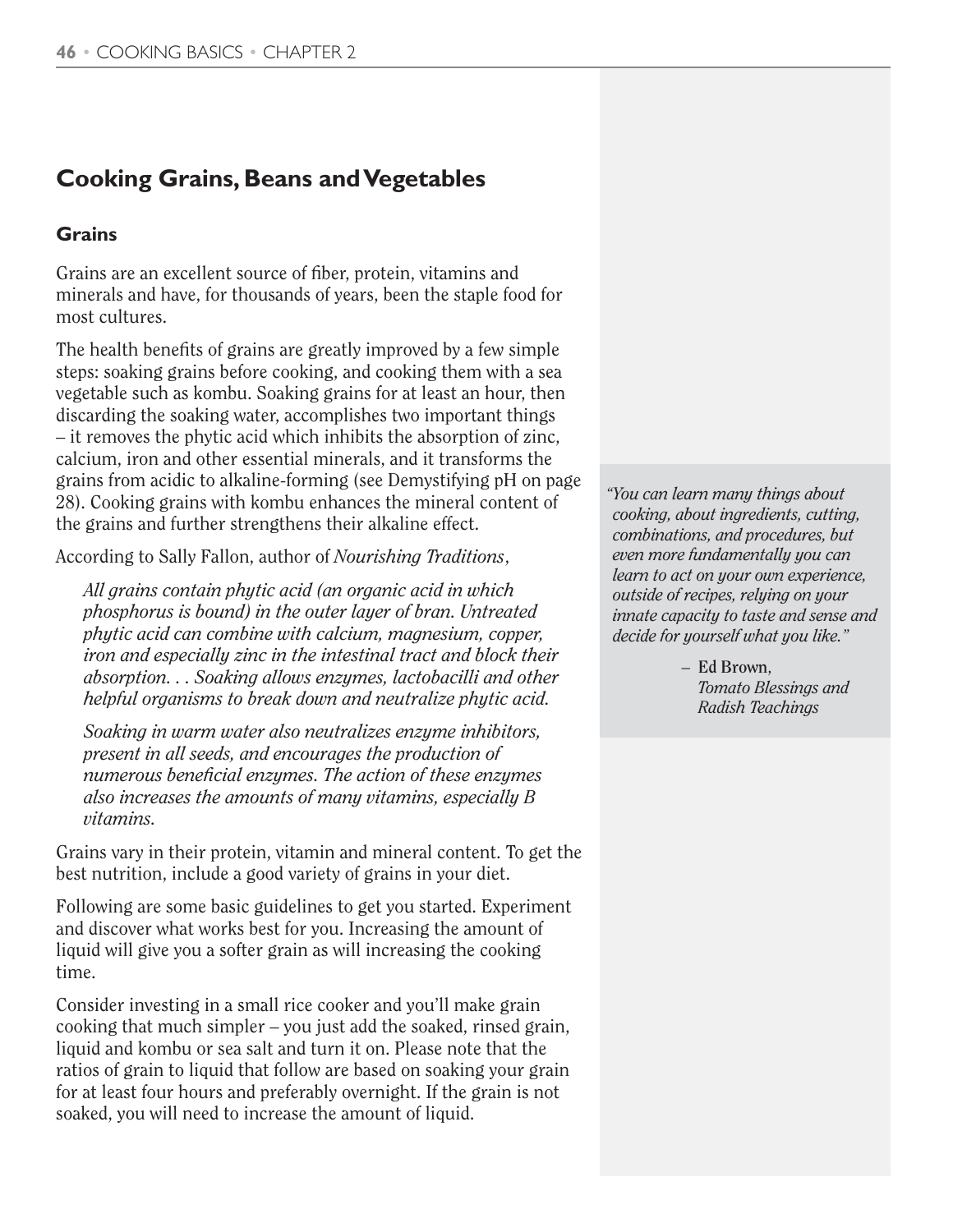## **Cooking Grains, Beans and Vegetables**

#### **Grains**

Grains are an excellent source of fiber, protein, vitamins and minerals and have, for thousands of years, been the staple food for most cultures.

The health benefits of grains are greatly improved by a few simple steps: soaking grains before cooking, and cooking them with a sea vegetable such as kombu. Soaking grains for at least an hour, then discarding the soaking water, accomplishes two important things – it removes the phytic acid which inhibits the absorption of zinc, calcium, iron and other essential minerals, and it transforms the grains from acidic to alkaline-forming (see Demystifying pH on page 28). Cooking grains with kombu enhances the mineral content of the grains and further strengthens their alkaline effect.

According to Sally Fallon, author of *Nourishing Traditions*,

*All grains contain phytic acid (an organic acid in which phosphorus is bound) in the outer layer of bran. Untreated phytic acid can combine with calcium, magnesium, copper, iron and especially zinc in the intestinal tract and block their absorption. . . Soaking allows enzymes, lactobacilli and other helpful organisms to break down and neutralize phytic acid.* 

*Soaking in warm water also neutralizes enzyme inhibitors, present in all seeds, and encourages the production of numerous beneficial enzymes. The action of these enzymes also increases the amounts of many vitamins, especially B vitamins.*

Grains vary in their protein, vitamin and mineral content. To get the best nutrition, include a good variety of grains in your diet.

Following are some basic guidelines to get you started. Experiment and discover what works best for you. Increasing the amount of liquid will give you a softer grain as will increasing the cooking time.

Consider investing in a small rice cooker and you'll make grain cooking that much simpler – you just add the soaked, rinsed grain, liquid and kombu or sea salt and turn it on. Please note that the ratios of grain to liquid that follow are based on soaking your grain for at least four hours and preferably overnight. If the grain is not soaked, you will need to increase the amount of liquid.

*"You can learn many things about cooking, about ingredients, cutting, combinations, and procedures, but even more fundamentally you can learn to act on your own experience, outside of recipes, relying on your innate capacity to taste and sense and decide for yourself what you like."*

> – **Ed Brown**, *Tomato Blessings and Radish Teachings*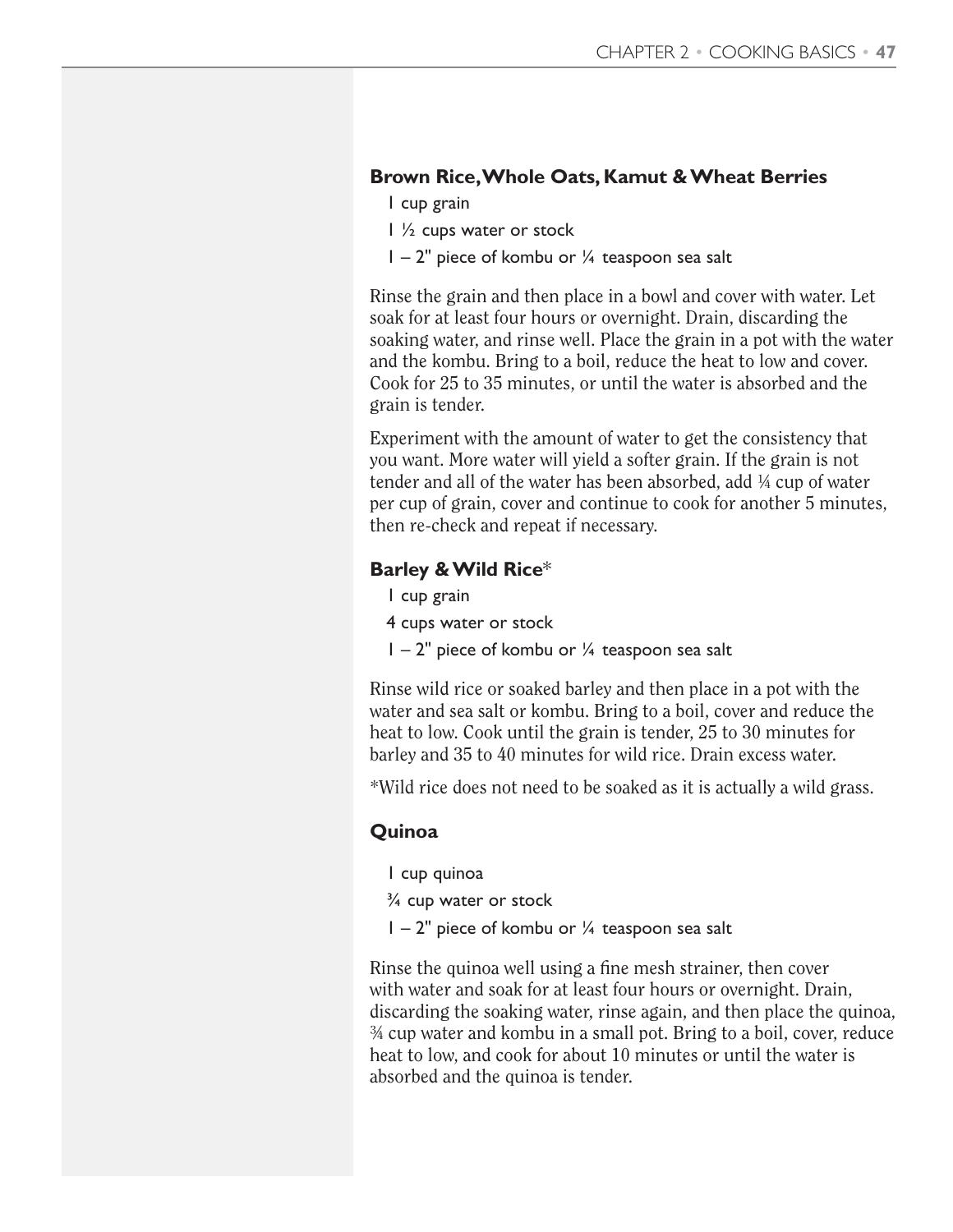#### **Brown Rice, Whole Oats, Kamut & Wheat Berries**

1 cup grain

- 1 ½ cups water or stock
- $1 2$ " piece of kombu or  $\frac{1}{4}$  teaspoon sea salt

Rinse the grain and then place in a bowl and cover with water. Let soak for at least four hours or overnight. Drain, discarding the soaking water, and rinse well. Place the grain in a pot with the water and the kombu. Bring to a boil, reduce the heat to low and cover. Cook for 25 to 35 minutes, or until the water is absorbed and the grain is tender.

Experiment with the amount of water to get the consistency that you want. More water will yield a softer grain. If the grain is not tender and all of the water has been absorbed, add ¼ cup of water per cup of grain, cover and continue to cook for another 5 minutes, then re-check and repeat if necessary.

#### **Barley & Wild Rice**\*

1 cup grain

- 4 cups water or stock
- $1 2$ " piece of kombu or  $\frac{1}{4}$  teaspoon sea salt

Rinse wild rice or soaked barley and then place in a pot with the water and sea salt or kombu. Bring to a boil, cover and reduce the heat to low. Cook until the grain is tender, 25 to 30 minutes for barley and 35 to 40 minutes for wild rice. Drain excess water.

\*Wild rice does not need to be soaked as it is actually a wild grass.

#### **Quinoa**

1 cup quinoa

¾ cup water or stock

 $1 - 2$ " piece of kombu or  $\frac{1}{4}$  teaspoon sea salt

Rinse the quinoa well using a fine mesh strainer, then cover with water and soak for at least four hours or overnight. Drain, discarding the soaking water, rinse again, and then place the quinoa, ¾ cup water and kombu in a small pot. Bring to a boil, cover, reduce heat to low, and cook for about 10 minutes or until the water is absorbed and the quinoa is tender.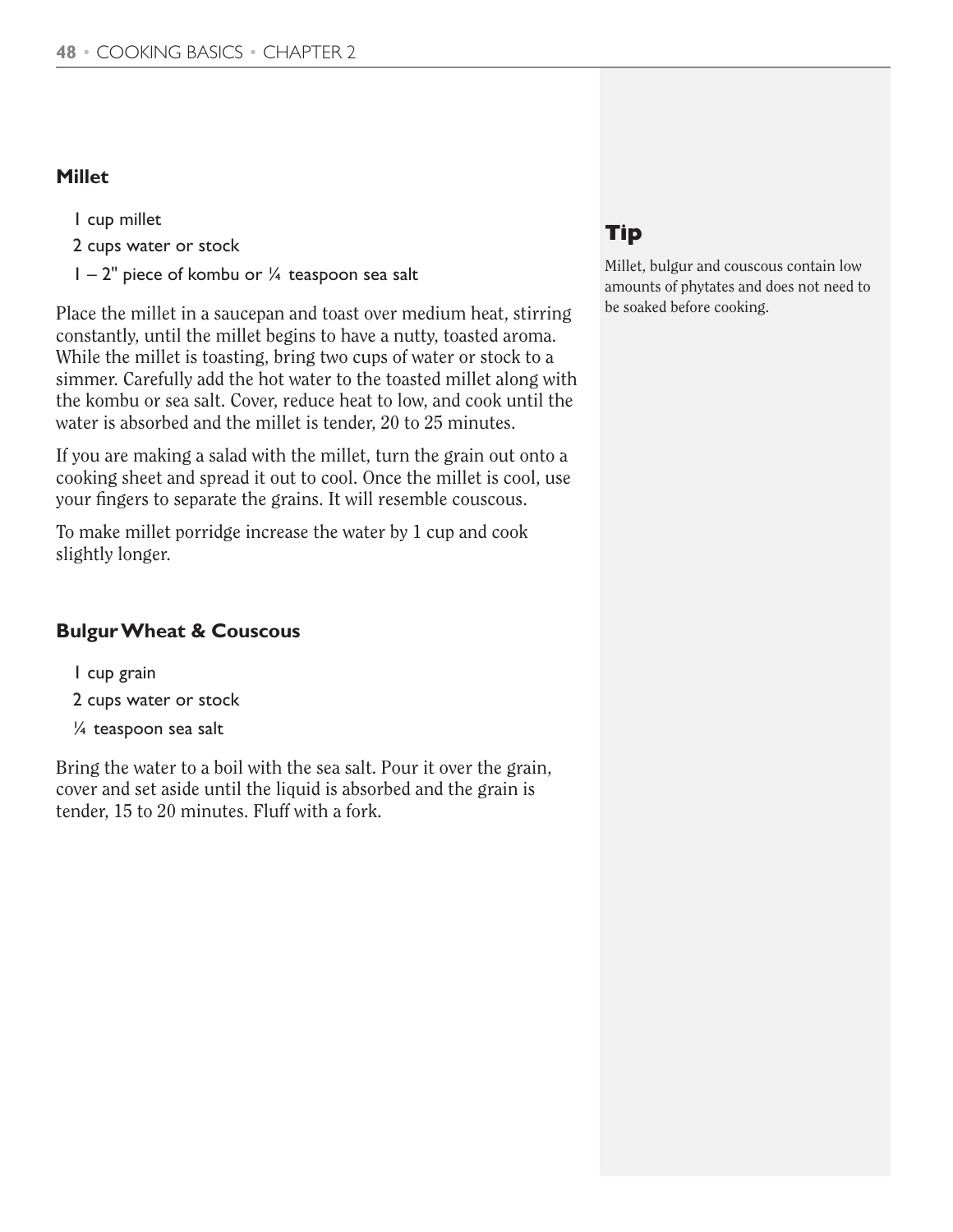#### **Millet**

1 cup millet

2 cups water or stock

 $1 - 2$ " piece of kombu or  $\frac{1}{4}$  teaspoon sea salt

Place the millet in a saucepan and toast over medium heat, stirring constantly, until the millet begins to have a nutty, toasted aroma. While the millet is toasting, bring two cups of water or stock to a simmer. Carefully add the hot water to the toasted millet along with the kombu or sea salt. Cover, reduce heat to low, and cook until the water is absorbed and the millet is tender, 20 to 25 minutes.

If you are making a salad with the millet, turn the grain out onto a cooking sheet and spread it out to cool. Once the millet is cool, use your fingers to separate the grains. It will resemble couscous.

To make millet porridge increase the water by 1 cup and cook slightly longer.

#### **Bulgur Wheat & Couscous**

1 cup grain

2 cups water or stock

¼ teaspoon sea salt

Bring the water to a boil with the sea salt. Pour it over the grain, cover and set aside until the liquid is absorbed and the grain is tender, 15 to 20 minutes. Fluff with a fork.

## **Tip**

Millet, bulgur and couscous contain low amounts of phytates and does not need to be soaked before cooking.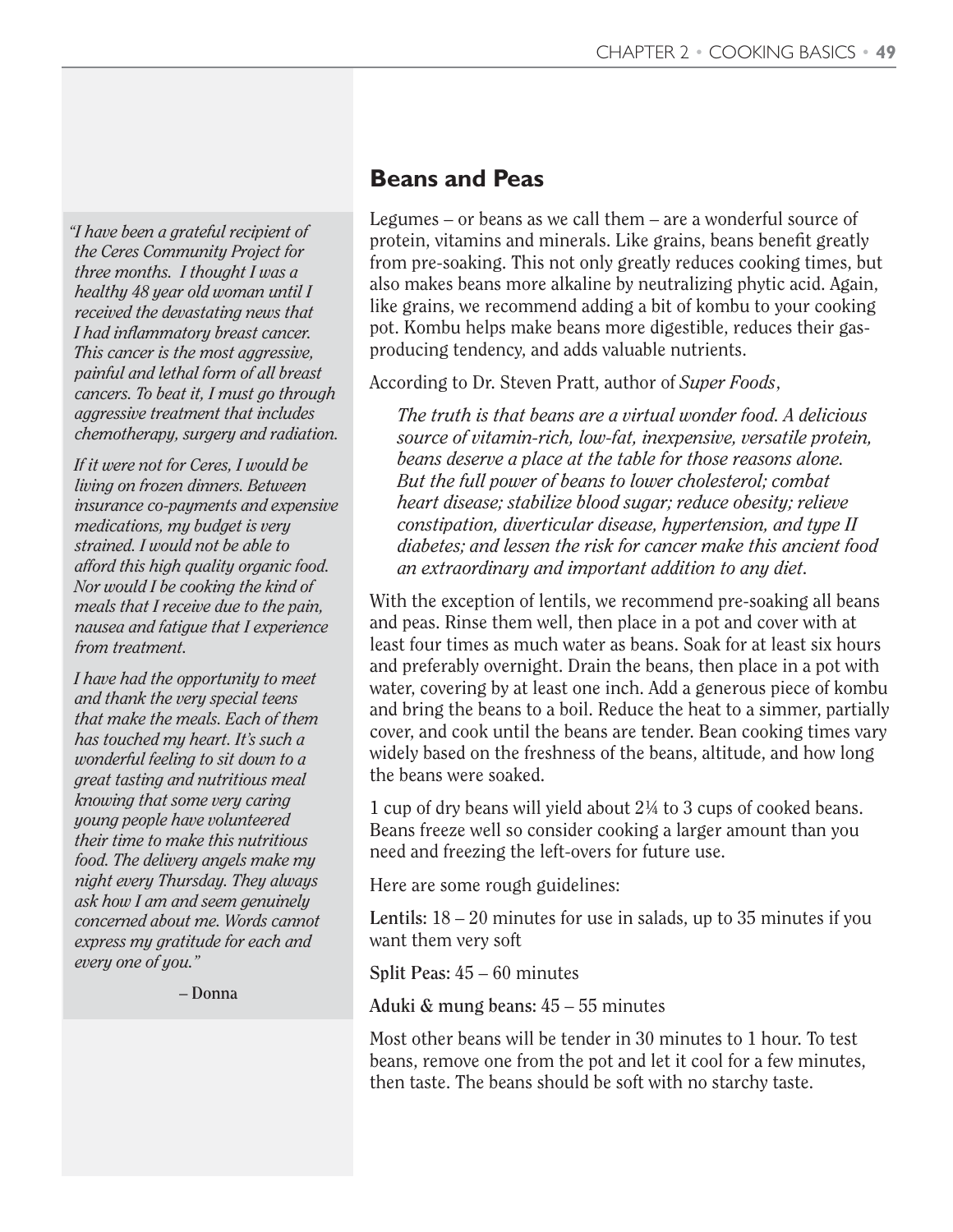*"I have been a grateful recipient of the Ceres Community Project for three months. I thought I was a healthy 48 year old woman until I received the devastating news that I had inflammatory breast cancer. This cancer is the most aggressive. painful and lethal form of all breast cancers. To beat it, I must go through aggressive treatment that includes chemotherapy, surgery and radiation.*

*If it were not for Ceres, I would be living on frozen dinners. Between insurance co-payments and expensive medications, my budget is very strained. I would not be able to afford this high quality organic food. Nor would I be cooking the kind of meals that I receive due to the pain, nausea and fatigue that I experience from treatment.* 

*I have had the opportunity to meet and thank the very special teens that make the meals. Each of them has touched my heart. It's such a wonderful feeling to sit down to a great tasting and nutritious meal knowing that some very caring young people have volunteered their time to make this nutritious food. The delivery angels make my night every Thursday. They always ask how I am and seem genuinely concerned about me. Words cannot express my gratitude for each and every one of you."*

**– Donna**

## **Beans and Peas**

Legumes – or beans as we call them – are a wonderful source of protein, vitamins and minerals. Like grains, beans benefit greatly from pre-soaking. This not only greatly reduces cooking times, but also makes beans more alkaline by neutralizing phytic acid. Again, like grains, we recommend adding a bit of kombu to your cooking pot. Kombu helps make beans more digestible, reduces their gasproducing tendency, and adds valuable nutrients.

According to Dr. Steven Pratt, author of *Super Foods*,

*The truth is that beans are a virtual wonder food. A delicious source of vitamin-rich, low-fat, inexpensive, versatile protein, beans deserve a place at the table for those reasons alone. But the full power of beans to lower cholesterol; combat heart disease; stabilize blood sugar; reduce obesity; relieve constipation, diverticular disease, hypertension, and type II diabetes; and lessen the risk for cancer make this ancient food an extraordinary and important addition to any diet.*

With the exception of lentils, we recommend pre-soaking all beans and peas. Rinse them well, then place in a pot and cover with at least four times as much water as beans. Soak for at least six hours and preferably overnight. Drain the beans, then place in a pot with water, covering by at least one inch. Add a generous piece of kombu and bring the beans to a boil. Reduce the heat to a simmer, partially cover, and cook until the beans are tender. Bean cooking times vary widely based on the freshness of the beans, altitude, and how long the beans were soaked.

1 cup of dry beans will yield about 2¼ to 3 cups of cooked beans. Beans freeze well so consider cooking a larger amount than you need and freezing the left-overs for future use.

Here are some rough guidelines:

**Lentils:** 18 – 20 minutes for use in salads, up to 35 minutes if you want them very soft

**Split Peas:** 45 – 60 minutes

**Aduki & mung beans:** 45 – 55 minutes

Most other beans will be tender in 30 minutes to 1 hour. To test beans, remove one from the pot and let it cool for a few minutes, then taste. The beans should be soft with no starchy taste.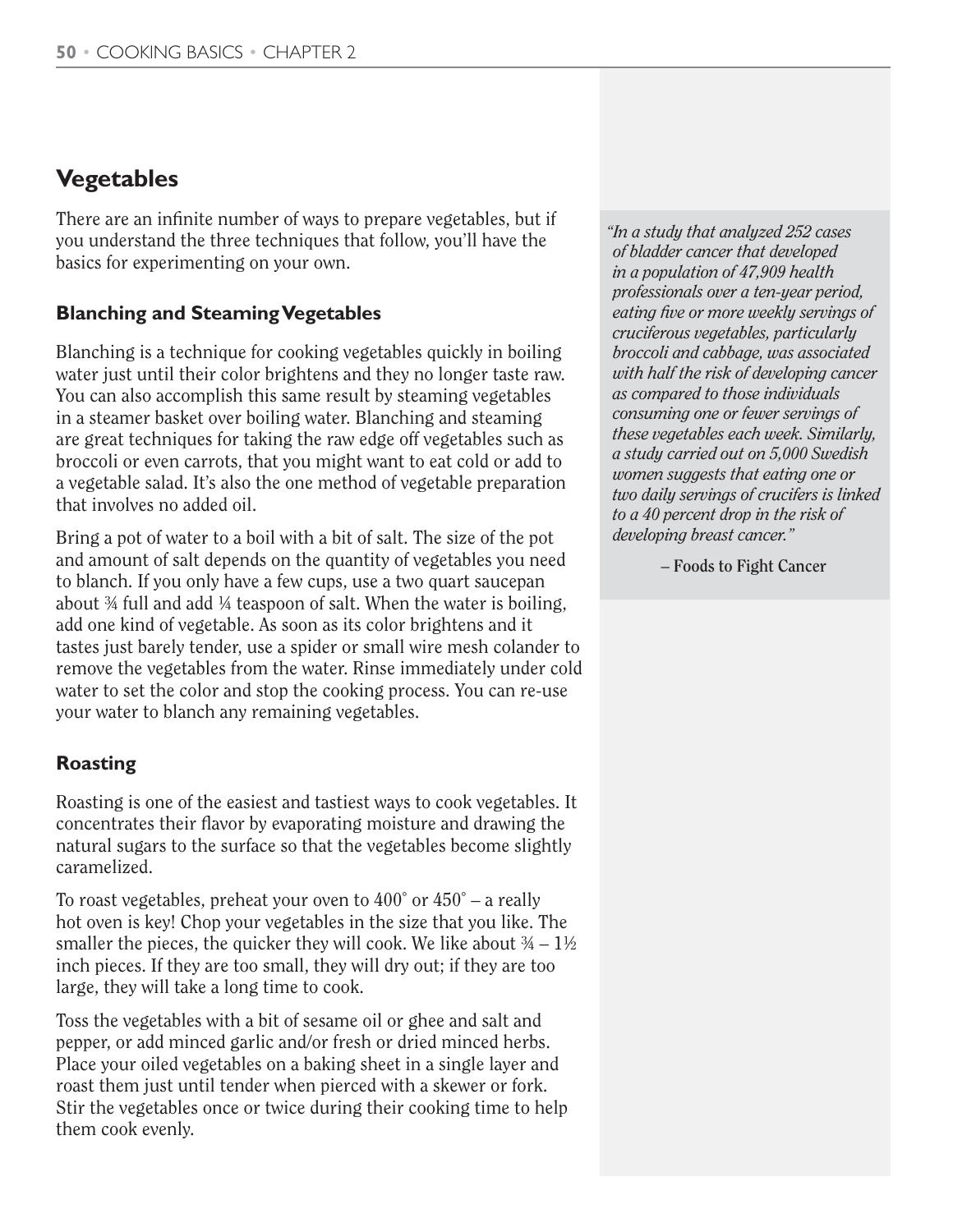## **Vegetables**

There are an infinite number of ways to prepare vegetables, but if you understand the three techniques that follow, you'll have the basics for experimenting on your own.

#### **Blanching and Steaming Vegetables**

Blanching is a technique for cooking vegetables quickly in boiling water just until their color brightens and they no longer taste raw. You can also accomplish this same result by steaming vegetables in a steamer basket over boiling water. Blanching and steaming are great techniques for taking the raw edge off vegetables such as broccoli or even carrots, that you might want to eat cold or add to a vegetable salad. It's also the one method of vegetable preparation that involves no added oil.

Bring a pot of water to a boil with a bit of salt. The size of the pot and amount of salt depends on the quantity of vegetables you need to blanch. If you only have a few cups, use a two quart saucepan about ¾ full and add ¼ teaspoon of salt. When the water is boiling, add one kind of vegetable. As soon as its color brightens and it tastes just barely tender, use a spider or small wire mesh colander to remove the vegetables from the water. Rinse immediately under cold water to set the color and stop the cooking process. You can re-use your water to blanch any remaining vegetables.

#### **Roasting**

Roasting is one of the easiest and tastiest ways to cook vegetables. It concentrates their flavor by evaporating moisture and drawing the natural sugars to the surface so that the vegetables become slightly caramelized.

To roast vegetables, preheat your oven to  $400^{\circ}$  or  $450^{\circ}$  – a really hot oven is key! Chop your vegetables in the size that you like. The smaller the pieces, the quicker they will cook. We like about  $\frac{3}{4} - 1\frac{1}{2}$ inch pieces. If they are too small, they will dry out; if they are too large, they will take a long time to cook.

Toss the vegetables with a bit of sesame oil or ghee and salt and pepper, or add minced garlic and/or fresh or dried minced herbs. Place your oiled vegetables on a baking sheet in a single layer and roast them just until tender when pierced with a skewer or fork. Stir the vegetables once or twice during their cooking time to help them cook evenly.

*"In a study that analyzed 252 cases of bladder cancer that developed in a population of 47,909 health professionals over a ten-year period, eating five or more weekly servings of cruciferous vegetables, particularly broccoli and cabbage, was associated with half the risk of developing cancer as compared to those individuals consuming one or fewer servings of these vegetables each week. Similarly, a study carried out on 5,000 Swedish women suggests that eating one or two daily servings of crucifers is linked to a 40 percent drop in the risk of developing breast cancer."* 

**– Foods to Fight Cancer**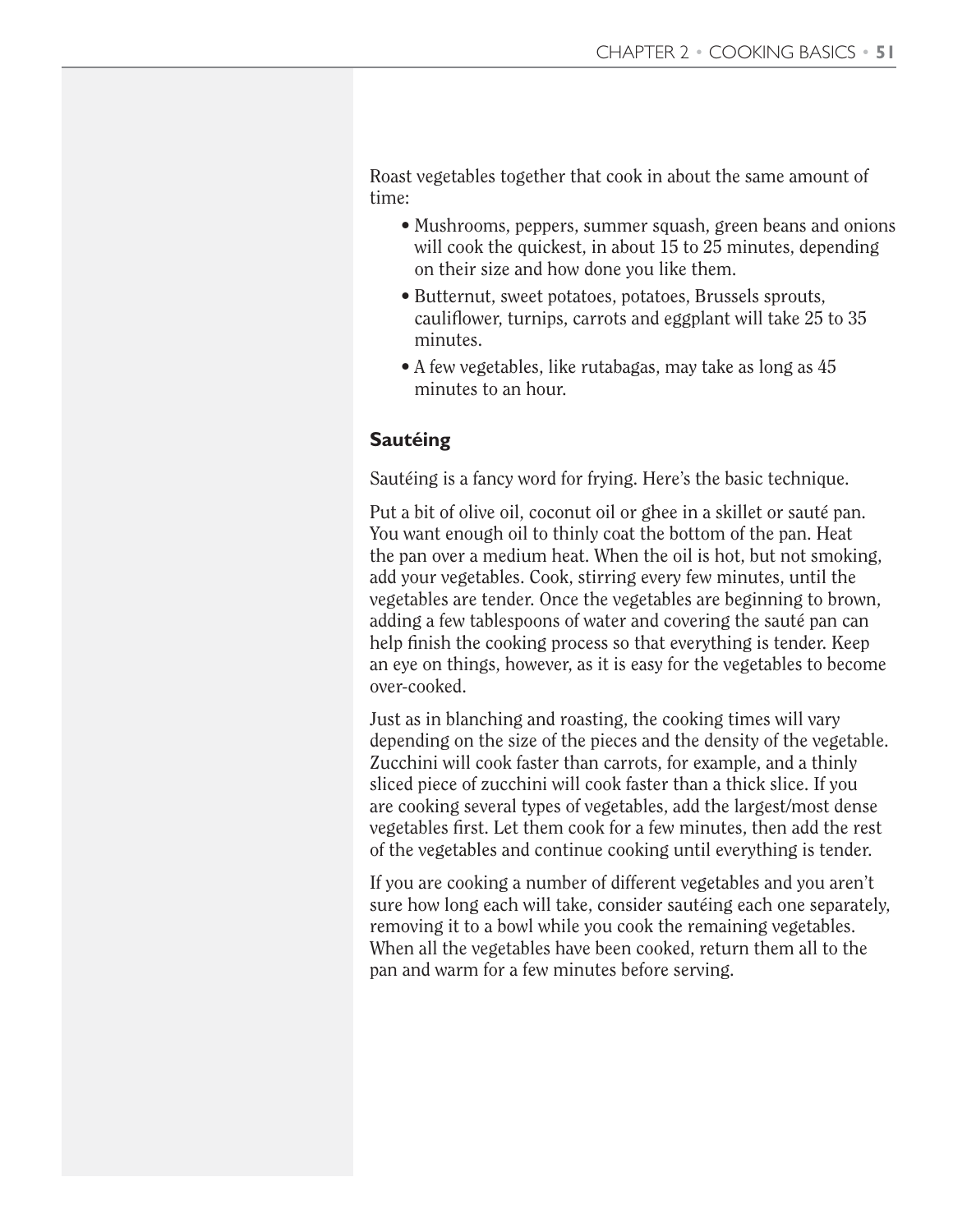Roast vegetables together that cook in about the same amount of time:

- Mushrooms, peppers, summer squash, green beans and onions will cook the quickest, in about 15 to 25 minutes, depending on their size and how done you like them.
- Butternut, sweet potatoes, potatoes, Brussels sprouts, cauliflower, turnips, carrots and eggplant will take 25 to 35 minutes.
- A few vegetables, like rutabagas, may take as long as 45 minutes to an hour.

#### **Sautéing**

Sautéing is a fancy word for frying. Here's the basic technique.

Put a bit of olive oil, coconut oil or ghee in a skillet or sauté pan. You want enough oil to thinly coat the bottom of the pan. Heat the pan over a medium heat. When the oil is hot, but not smoking, add your vegetables. Cook, stirring every few minutes, until the vegetables are tender. Once the vegetables are beginning to brown, adding a few tablespoons of water and covering the sauté pan can help finish the cooking process so that everything is tender. Keep an eye on things, however, as it is easy for the vegetables to become over-cooked.

Just as in blanching and roasting, the cooking times will vary depending on the size of the pieces and the density of the vegetable. Zucchini will cook faster than carrots, for example, and a thinly sliced piece of zucchini will cook faster than a thick slice. If you are cooking several types of vegetables, add the largest/most dense vegetables first. Let them cook for a few minutes, then add the rest of the vegetables and continue cooking until everything is tender.

If you are cooking a number of different vegetables and you aren't sure how long each will take, consider sautéing each one separately, removing it to a bowl while you cook the remaining vegetables. When all the vegetables have been cooked, return them all to the pan and warm for a few minutes before serving.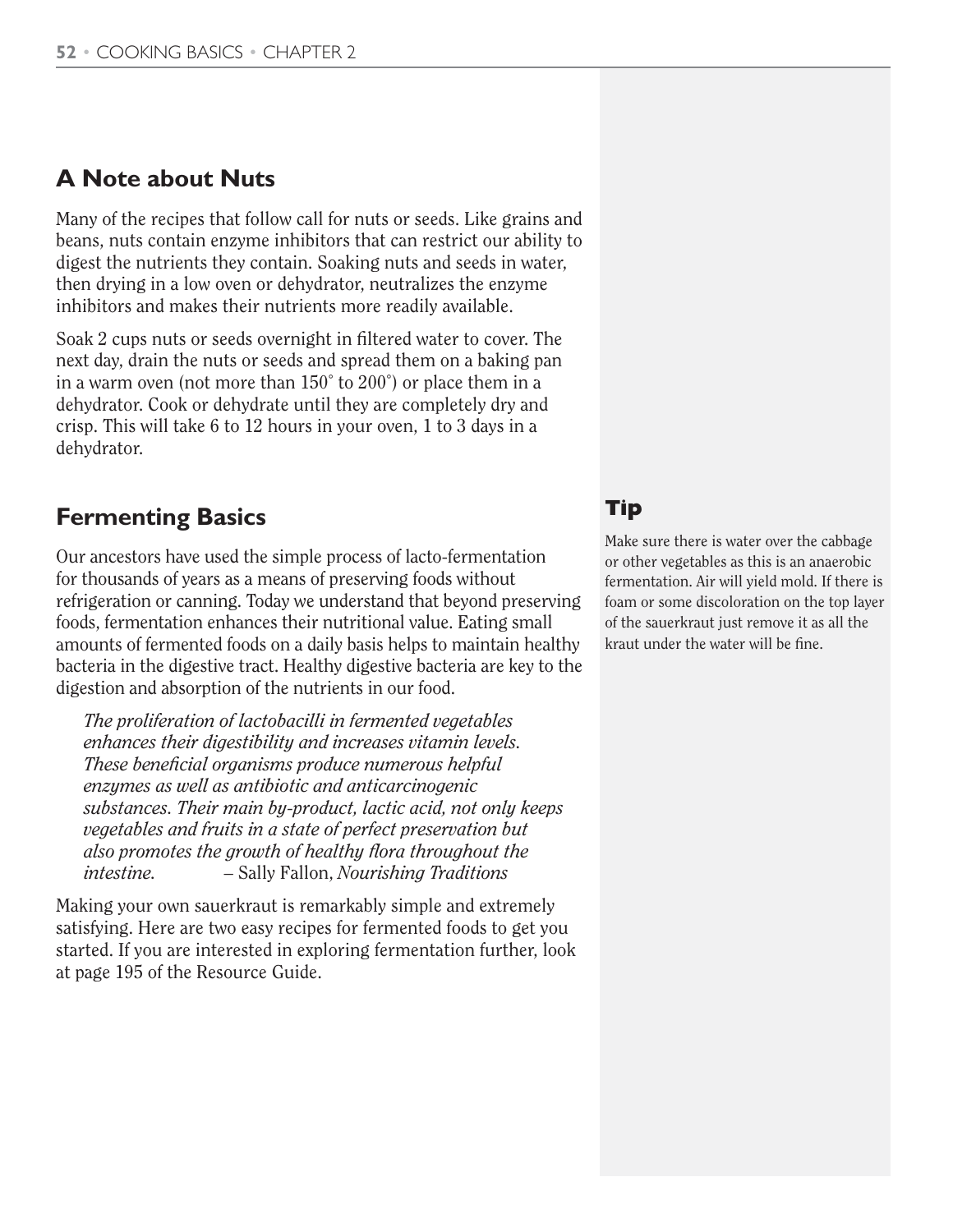## **A Note about Nuts**

Many of the recipes that follow call for nuts or seeds. Like grains and beans, nuts contain enzyme inhibitors that can restrict our ability to digest the nutrients they contain. Soaking nuts and seeds in water, then drying in a low oven or dehydrator, neutralizes the enzyme inhibitors and makes their nutrients more readily available.

Soak 2 cups nuts or seeds overnight in filtered water to cover. The next day, drain the nuts or seeds and spread them on a baking pan in a warm oven (not more than 150˚ to 200˚) or place them in a dehydrator. Cook or dehydrate until they are completely dry and crisp. This will take 6 to 12 hours in your oven, 1 to 3 days in a dehydrator.

## **Fermenting Basics**

Our ancestors have used the simple process of lacto-fermentation for thousands of years as a means of preserving foods without refrigeration or canning. Today we understand that beyond preserving foods, fermentation enhances their nutritional value. Eating small amounts of fermented foods on a daily basis helps to maintain healthy bacteria in the digestive tract. Healthy digestive bacteria are key to the digestion and absorption of the nutrients in our food.

*The proliferation of lactobacilli in fermented vegetables enhances their digestibility and increases vitamin levels. These beneficial organisms produce numerous helpful enzymes as well as antibiotic and anticarcinogenic substances. Their main by-product, lactic acid, not only keeps vegetables and fruits in a state of perfect preservation but also promotes the growth of healthy flora throughout the intestine.* – Sally Fallon, *Nourishing Traditions*

Making your own sauerkraut is remarkably simple and extremely satisfying. Here are two easy recipes for fermented foods to get you started. If you are interested in exploring fermentation further, look at page 195 of the Resource Guide.

#### **Tip**

Make sure there is water over the cabbage or other vegetables as this is an anaerobic fermentation. Air will yield mold. If there is foam or some discoloration on the top layer of the sauerkraut just remove it as all the kraut under the water will be fine.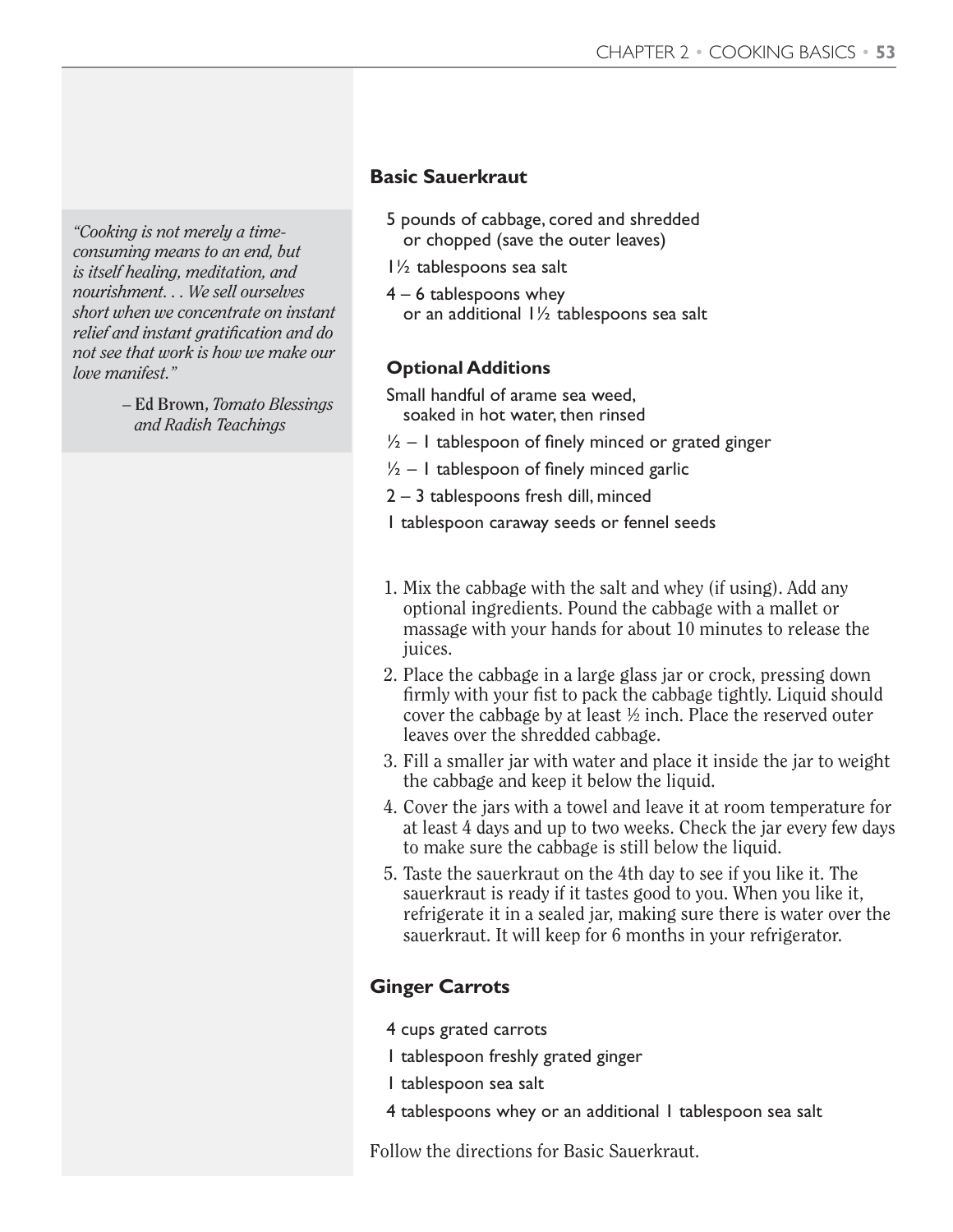*"Cooking is not merely a timeconsuming means to an end, but is itself healing, meditation, and nourishment. . . We sell ourselves short when we concentrate on instant relief and instant gratification and do not see that work is how we make our love manifest."* 

> **– Ed Brown,** *Tomato Blessings and Radish Teachings*

## **Basic Sauerkraut**

- 5 pounds of cabbage, cored and shredded or chopped (save the outer leaves)
- 1½ tablespoons sea salt
- $4 6$  tablespoons whey or an additional 1½ tablespoons sea salt

#### **Optional Additions**

Small handful of arame sea weed, soaked in hot water, then rinsed

- $\frac{1}{2}$  1 tablespoon of finely minced or grated ginger
- $\frac{1}{2}$  1 tablespoon of finely minced garlic
- 2 3 tablespoons fresh dill, minced
- 1 tablespoon caraway seeds or fennel seeds
- 1. Mix the cabbage with the salt and whey (if using). Add any optional ingredients. Pound the cabbage with a mallet or massage with your hands for about 10 minutes to release the juices.
- 2. Place the cabbage in a large glass jar or crock, pressing down firmly with your fist to pack the cabbage tightly. Liquid should cover the cabbage by at least ½ inch. Place the reserved outer leaves over the shredded cabbage.
- 3. Fill a smaller jar with water and place it inside the jar to weight the cabbage and keep it below the liquid.
- 4. Cover the jars with a towel and leave it at room temperature for at least 4 days and up to two weeks. Check the jar every few days to make sure the cabbage is still below the liquid.
- 5. Taste the sauerkraut on the 4th day to see if you like it. The sauerkraut is ready if it tastes good to you. When you like it, refrigerate it in a sealed jar, making sure there is water over the sauerkraut. It will keep for 6 months in your refrigerator.

## **Ginger Carrots**

- 4 cups grated carrots
- 1 tablespoon freshly grated ginger
- 1 tablespoon sea salt
- 4 tablespoons whey or an additional 1 tablespoon sea salt

Follow the directions for Basic Sauerkraut.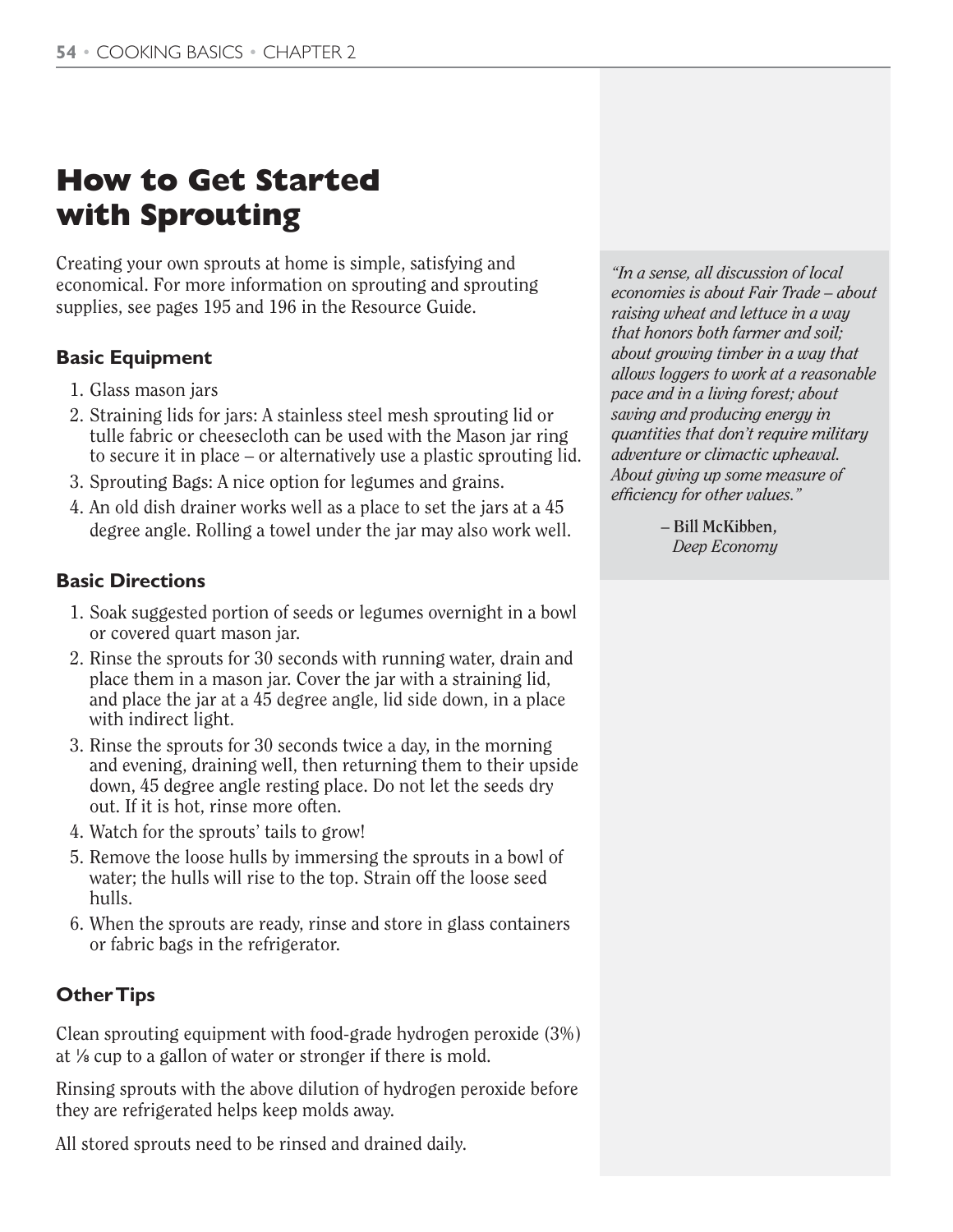# **How to Get Started with Sprouting**

Creating your own sprouts at home is simple, satisfying and economical. For more information on sprouting and sprouting supplies, see pages 195 and 196 in the Resource Guide.

#### **Basic Equipment**

- 1. Glass mason jars
- 2. Straining lids for jars: A stainless steel mesh sprouting lid or tulle fabric or cheesecloth can be used with the Mason jar ring to secure it in place – or alternatively use a plastic sprouting lid.
- 3. Sprouting Bags: A nice option for legumes and grains.
- 4. An old dish drainer works well as a place to set the jars at a 45 degree angle. Rolling a towel under the jar may also work well.

#### **Basic Directions**

- 1. Soak suggested portion of seeds or legumes overnight in a bowl or covered quart mason jar.
- 2. Rinse the sprouts for 30 seconds with running water, drain and place them in a mason jar. Cover the jar with a straining lid, and place the jar at a 45 degree angle, lid side down, in a place with indirect light.
- 3. Rinse the sprouts for 30 seconds twice a day, in the morning and evening, draining well, then returning them to their upside down, 45 degree angle resting place. Do not let the seeds dry out. If it is hot, rinse more often.
- 4. Watch for the sprouts' tails to grow!
- 5. Remove the loose hulls by immersing the sprouts in a bowl of water; the hulls will rise to the top. Strain off the loose seed hulls.
- 6. When the sprouts are ready, rinse and store in glass containers or fabric bags in the refrigerator.

## **Other Tips**

Clean sprouting equipment with food-grade hydrogen peroxide (3%) at  $\frac{1}{2}$  cup to a gallon of water or stronger if there is mold.

Rinsing sprouts with the above dilution of hydrogen peroxide before they are refrigerated helps keep molds away.

All stored sprouts need to be rinsed and drained daily.

*"In a sense, all discussion of local economies is about Fair Trade – about raising wheat and lettuce in a way that honors both farmer and soil; about growing timber in a way that allows loggers to work at a reasonable pace and in a living forest; about saving and producing energy in quantities that don't require military adventure or climactic upheaval. About giving up some measure of efficiency for other values."* 

> **– Bill McKibben,**  *Deep Economy*